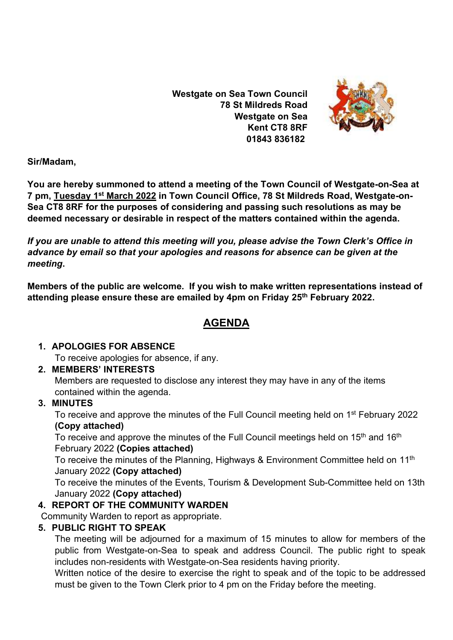**Westgate on Sea Town Council 78 St Mildreds Road Westgate on Sea Kent CT8 8RF 01843 836182**



**Sir/Madam,** 

**You are hereby summoned to attend a meeting of the Town Council of Westgate-on-Sea at 7 pm, Tuesday 1 st March 2022 in Town Council Office, 78 St Mildreds Road, Westgate-on-Sea CT8 8RF for the purposes of considering and passing such resolutions as may be deemed necessary or desirable in respect of the matters contained within the agenda.**

*If you are unable to attend this meeting will you, please advise the Town Clerk's Office in advance by email so that your apologies and reasons for absence can be given at the meeting***.**

**Members of the public are welcome. If you wish to make written representations instead of attending please ensure these are emailed by 4pm on Friday 25 th February 2022.**

# **AGENDA**

### **1. APOLOGIES FOR ABSENCE**

To receive apologies for absence, if any.

## **2. MEMBERS' INTERESTS**

Members are requested to disclose any interest they may have in any of the items contained within the agenda.

## **3. MINUTES**

To receive and approve the minutes of the Full Council meeting held on 1<sup>st</sup> February 2022 **(Copy attached)**

To receive and approve the minutes of the Full Council meetings held on 15<sup>th</sup> and 16<sup>th</sup> February 2022 **(Copies attached)**

To receive the minutes of the Planning, Highways & Environment Committee held on 11<sup>th</sup> January 2022 **(Copy attached)**

To receive the minutes of the Events, Tourism & Development Sub-Committee held on 13th January 2022 **(Copy attached)**

## **4. REPORT OF THE COMMUNITY WARDEN**

Community Warden to report as appropriate.

### **5. PUBLIC RIGHT TO SPEAK**

The meeting will be adjourned for a maximum of 15 minutes to allow for members of the public from Westgate-on-Sea to speak and address Council. The public right to speak includes non-residents with Westgate-on-Sea residents having priority.

Written notice of the desire to exercise the right to speak and of the topic to be addressed must be given to the Town Clerk prior to 4 pm on the Friday before the meeting.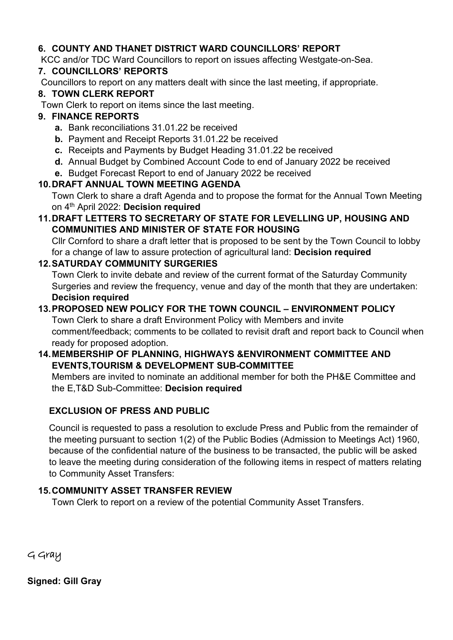### **6. COUNTY AND THANET DISTRICT WARD COUNCILLORS' REPORT**

KCC and/or TDC Ward Councillors to report on issues affecting Westgate-on-Sea.

#### **7. COUNCILLORS' REPORTS**

Councillors to report on any matters dealt with since the last meeting, if appropriate.

#### **8. TOWN CLERK REPORT**

Town Clerk to report on items since the last meeting.

#### **9. FINANCE REPORTS**

- **a.** Bank reconciliations 31.01.22 be received
- **b.** Payment and Receipt Reports 31.01.22 be received
- **c.** Receipts and Payments by Budget Heading 31.01.22 be received
- **d.** Annual Budget by Combined Account Code to end of January 2022 be received
- **e.** Budget Forecast Report to end of January 2022 be received

### **10.DRAFT ANNUAL TOWN MEETING AGENDA**

Town Clerk to share a draft Agenda and to propose the format for the Annual Town Meeting on 4th April 2022: **Decision required**

#### **11.DRAFT LETTERS TO SECRETARY OF STATE FOR LEVELLING UP, HOUSING AND COMMUNITIES AND MINISTER OF STATE FOR HOUSING**

Cllr Cornford to share a draft letter that is proposed to be sent by the Town Council to lobby for a change of law to assure protection of agricultural land: **Decision required**

#### **12.SATURDAY COMMUNITY SURGERIES**

Town Clerk to invite debate and review of the current format of the Saturday Community Surgeries and review the frequency, venue and day of the month that they are undertaken: **Decision required**

#### **13.PROPOSED NEW POLICY FOR THE TOWN COUNCIL – ENVIRONMENT POLICY** Town Clerk to share a draft Environment Policy with Members and invite comment/feedback; comments to be collated to revisit draft and report back to Council when

ready for proposed adoption.

### **14.MEMBERSHIP OF PLANNING, HIGHWAYS &ENVIRONMENT COMMITTEE AND EVENTS,TOURISM & DEVELOPMENT SUB-COMMITTEE**

Members are invited to nominate an additional member for both the PH&E Committee and the E,T&D Sub-Committee: **Decision required**

### **EXCLUSION OF PRESS AND PUBLIC**

Council is requested to pass a resolution to exclude Press and Public from the remainder of the meeting pursuant to section 1(2) of the Public Bodies (Admission to Meetings Act) 1960, because of the confidential nature of the business to be transacted, the public will be asked to leave the meeting during consideration of the following items in respect of matters relating to Community Asset Transfers:

### **15.COMMUNITY ASSET TRANSFER REVIEW**

Town Clerk to report on a review of the potential Community Asset Transfers.

G Gray

**Signed: Gill Gray**